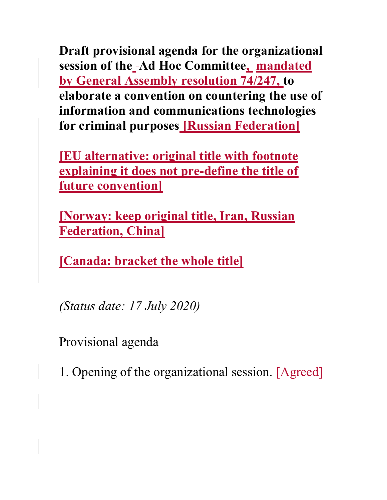Draft provisional agenda for the organizational session of the -Ad Hoc Committee, mandated by General Assembly resolution 74/247, to elaborate a convention on countering the use of information and communications technologies for criminal purposes Russian Federation

[EU alternative: original title with footnote explaining it does not pre-define the title of future convention]

[Norway: keep original title, Iran, Russian Federation, China]

[Canada: bracket the whole title]

(Status date: 17 July 2020)

Provisional agenda

1. Opening of the organizational session. [Agreed]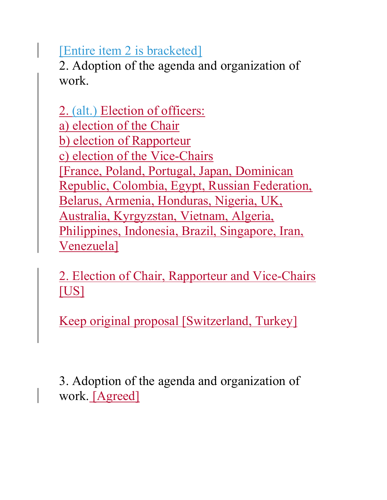[Entire item 2 is bracketed]

2. Adoption of the agenda and organization of work.

2. (alt.) Election of officers: a) election of the Chair b) election of Rapporteur c) election of the Vice-Chairs [France, Poland, Portugal, Japan, Dominican Republic, Colombia, Egypt, Russian Federation, Belarus, Armenia, Honduras, Nigeria, UK, Australia, Kyrgyzstan, Vietnam, Algeria, Philippines, Indonesia, Brazil, Singapore, Iran, Venezuela]

2. Election of Chair, Rapporteur and Vice-Chairs [US]

Keep original proposal [Switzerland, Turkey]

3. Adoption of the agenda and organization of work. [Agreed]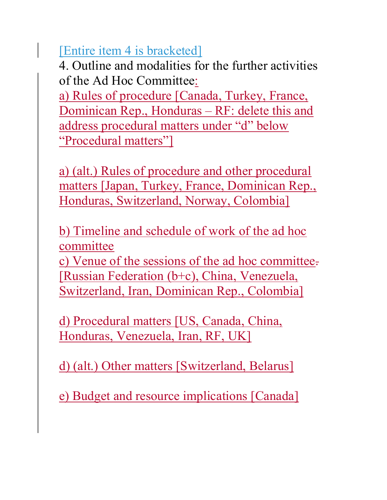[Entire item 4 is bracketed]

4. Outline and modalities for the further activities of the Ad Hoc Committee:

a) Rules of procedure [Canada, Turkey, France, Dominican Rep., Honduras – RF: delete this and address procedural matters under "d" below "Procedural matters"]

a) (alt.) Rules of procedure and other procedural matters [Japan, Turkey, France, Dominican Rep., Honduras, Switzerland, Norway, Colombia]

b) Timeline and schedule of work of the ad hoc committee

c) Venue of the sessions of the ad hoc committee. [Russian Federation (b+c), China, Venezuela, Switzerland, Iran, Dominican Rep., Colombia]

d) Procedural matters [US, Canada, China, Honduras, Venezuela, Iran, RF, UK]

d) (alt.) Other matters [Switzerland, Belarus]

e) Budget and resource implications [Canada]